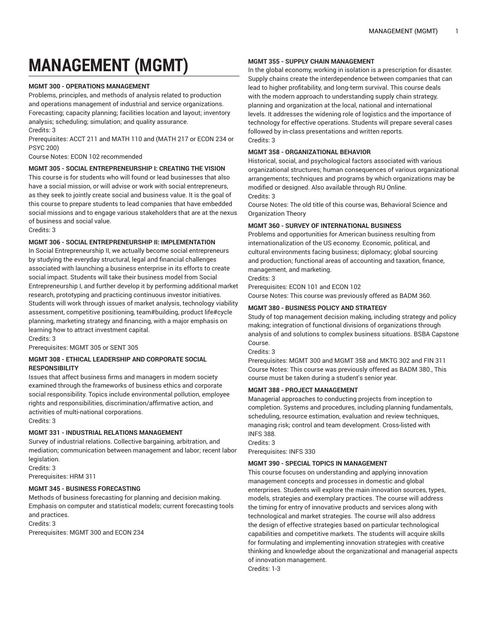# **MANAGEMENT (MGMT)**

#### **MGMT 300 - OPERATIONS MANAGEMENT**

Problems, principles, and methods of analysis related to production and operations management of industrial and service organizations. Forecasting; capacity planning; facilities location and layout; inventory analysis; scheduling; simulation; and quality assurance.

Credits: 3 Prerequisites: ACCT 211 and MATH 110 and (MATH 217 or ECON 234 or PSYC 200)

Course Notes: ECON 102 recommended

#### **MGMT 305 - SOCIAL ENTREPRENEURSHIP I: CREATING THE VISION**

This course is for students who will found or lead businesses that also have a social mission, or will advise or work with social entrepreneurs, as they seek to jointly create social and business value. It is the goal of this course to prepare students to lead companies that have embedded social missions and to engage various stakeholders that are at the nexus of business and social value.

Credits: 3

#### **MGMT 306 - SOCIAL ENTREPRENEURSHIP II: IMPLEMENTATION**

In Social Entrepreneurship II, we actually become social entrepreneurs by studying the everyday structural, legal and financial challenges associated with launching a business enterprise in its efforts to create social impact. Students will take their business model from Social Entrepreneurship I, and further develop it by performing additional market research, prototyping and practicing continuous investor initiatives. Students will work through issues of market analysis, technology viability assessment, competitive positioning, team#building, product life#cycle planning, marketing strategy and financing, with a major emphasis on learning how to attract investment capital.

Credits: 3 Prerequisites: MGMT 305 or SENT 305

**MGMT 308 - ETHICAL LEADERSHIP AND CORPORATE SOCIAL**

**RESPONSIBILITY**

Issues that affect business firms and managers in modern society examined through the frameworks of business ethics and corporate social responsibility. Topics include environmental pollution, employee rights and responsibilities, discrimination/affirmative action, and activities of multi-national corporations. Credits: 3

# **MGMT 331 - INDUSTRIAL RELATIONS MANAGEMENT**

Survey of industrial relations. Collective bargaining, arbitration, and mediation; communication between management and labor; recent labor legislation.

Credits: 3 Prerequisites: HRM 311

**MGMT 345 - BUSINESS FORECASTING**

Methods of business forecasting for planning and decision making. Emphasis on computer and statistical models; current forecasting tools and practices.

Credits: 3

Prerequisites: MGMT 300 and ECON 234

#### **MGMT 355 - SUPPLY CHAIN MANAGEMENT**

In the global economy, working in isolation is a prescription for disaster. Supply chains create the interdependence between companies that can lead to higher profitability, and long-term survival. This course deals with the modern approach to understanding supply chain strategy, planning and organization at the local, national and international levels. It addresses the widening role of logistics and the importance of technology for effective operations. Students will prepare several cases followed by in-class presentations and written reports. Credits: 3

#### **MGMT 358 - ORGANIZATIONAL BEHAVIOR**

Historical, social, and psychological factors associated with various organizational structures; human consequences of various organizational arrangements; techniques and programs by which organizations may be modified or designed. Also available through RU Online. Credits: 3

Course Notes: The old title of this course was, Behavioral Science and Organization Theory

#### **MGMT 360 - SURVEY OF INTERNATIONAL BUSINESS**

Problems and opportunities for American business resulting from internationalization of the US economy. Economic, political, and cultural environments facing business; diplomacy; global sourcing and production; functional areas of accounting and taxation, finance, management, and marketing.

Credits: 3

Prerequisites: ECON 101 and ECON 102

Course Notes: This course was previously offered as BADM 360.

### **MGMT 380 - BUSINESS POLICY AND STRATEGY**

Study of top management decision making, including strategy and policy making; integration of functional divisions of organizations through analysis of and solutions to complex business situations. BSBA Capstone Course.

Credits: 3

Prerequisites: MGMT 300 and MGMT 358 and MKTG 302 and FIN 311 Course Notes: This course was previously offered as BADM 380., This course must be taken during a student's senior year.

#### **MGMT 388 - PROJECT MANAGEMENT**

Managerial approaches to conducting projects from inception to completion. Systems and procedures, including planning fundamentals, scheduling, resource estimation, evaluation and review techniques, managing risk; control and team development. Cross-listed with INFS 388.

Credits: 3

Prerequisites: INFS 330

#### **MGMT 390 - SPECIAL TOPICS IN MANAGEMENT**

This course focuses on understanding and applying innovation management concepts and processes in domestic and global enterprises. Students will explore the main innovation sources, types, models, strategies and exemplary practices. The course will address the timing for entry of innovative products and services along with technological and market strategies. The course will also address the design of effective strategies based on particular technological capabilities and competitive markets. The students will acquire skills for formulating and implementing innovation strategies with creative thinking and knowledge about the organizational and managerial aspects of innovation management.

Credits: 1-3